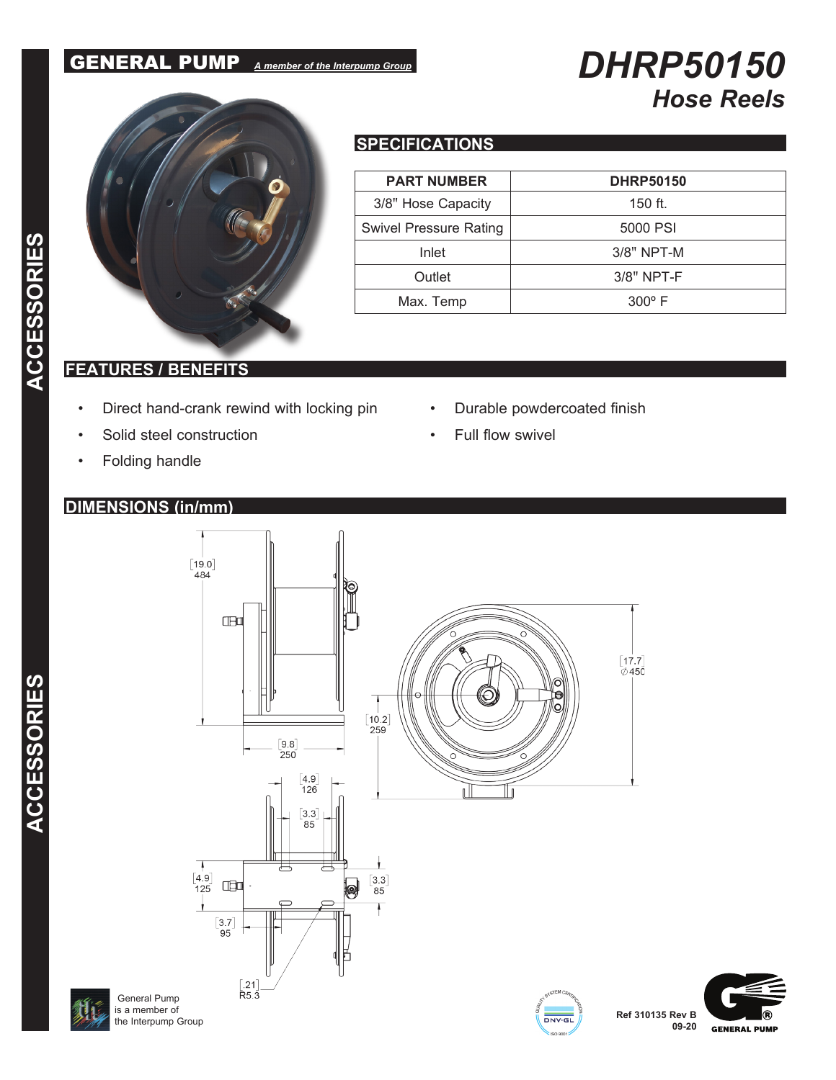## GENERAL PUMP *A member of the Interpump Group*

# *DHRP50150 Hose Reels*



## **SPECIFICATIONS**

| <b>PART NUMBER</b>            | <b>DHRP50150</b> |
|-------------------------------|------------------|
| 3/8" Hose Capacity            | $150$ ft.        |
| <b>Swivel Pressure Rating</b> | 5000 PSI         |
| Inlet                         | $3/8"$ NPT-M     |
| Outlet                        | $3/8"$ NPT-F     |
| Max. Temp                     | $300^\circ$ F    |

 $\frac{1}{\text{DNV}\cdot\text{GI}}$ 

### **FEATURES / BENEFITS**

- Direct hand-crank rewind with locking pin
- Solid steel construction
- Folding handle

### **DIMENSIONS (in/mm)**

- Durable powdercoated finish
	- Full flow swivel





**ACCESSORIES**